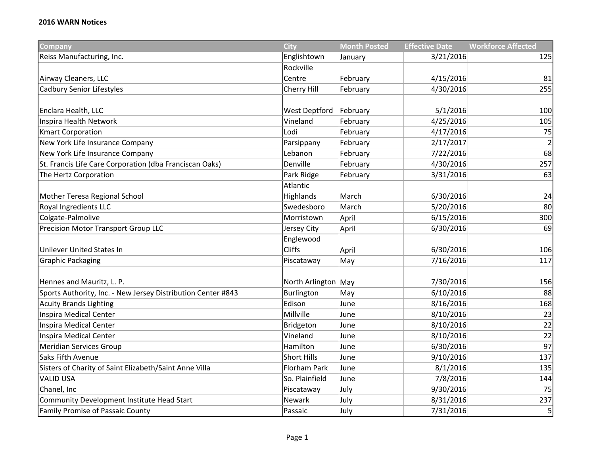| Company                                                      | City                | <b>Month Posted</b> | <b>Effective Date</b> | <b>Workforce Affected</b> |
|--------------------------------------------------------------|---------------------|---------------------|-----------------------|---------------------------|
| Reiss Manufacturing, Inc.                                    | Englishtown         | January             | 3/21/2016             | 125                       |
|                                                              | Rockville           |                     |                       |                           |
| Airway Cleaners, LLC                                         | Centre              | February            | 4/15/2016             | 81                        |
| Cadbury Senior Lifestyles                                    | Cherry Hill         | February            | 4/30/2016             | 255                       |
|                                                              |                     |                     |                       |                           |
| Enclara Health, LLC                                          | West Deptford       | February            | 5/1/2016              | 100                       |
| Inspira Health Network                                       | Vineland            | February            | 4/25/2016             | 105                       |
| <b>Kmart Corporation</b>                                     | Lodi                | February            | 4/17/2016             | 75                        |
| New York Life Insurance Company                              | Parsippany          | February            | 2/17/2017             | 2                         |
| New York Life Insurance Company                              | Lebanon             | February            | 7/22/2016             | 68                        |
| St. Francis Life Care Corporation (dba Franciscan Oaks)      | Denville            | February            | 4/30/2016             | 257                       |
| The Hertz Corporation                                        | Park Ridge          | February            | 3/31/2016             | 63                        |
|                                                              | Atlantic            |                     |                       |                           |
| Mother Teresa Regional School                                | Highlands           | March               | 6/30/2016             | 24                        |
| Royal Ingredients LLC                                        | Swedesboro          | March               | 5/20/2016             | 80                        |
| Colgate-Palmolive                                            | Morristown          | April               | 6/15/2016             | 300                       |
| <b>Precision Motor Transport Group LLC</b>                   | Jersey City         | April               | 6/30/2016             | 69                        |
|                                                              | Englewood           |                     |                       |                           |
| <b>Unilever United States In</b>                             | <b>Cliffs</b>       | April               | 6/30/2016             | 106                       |
| <b>Graphic Packaging</b>                                     | Piscataway          | May                 | 7/16/2016             | 117                       |
|                                                              |                     |                     |                       |                           |
| Hennes and Mauritz, L. P.                                    | North Arlington May |                     | 7/30/2016             | 156                       |
| Sports Authority, Inc. - New Jersey Distribution Center #843 | Burlington          | May                 | 6/10/2016             | 88                        |
| <b>Acuity Brands Lighting</b>                                | Edison              | June                | 8/16/2016             | 168                       |
| Inspira Medical Center                                       | Millville           | June                | 8/10/2016             | 23                        |
| <b>Inspira Medical Center</b>                                | Bridgeton           | June                | 8/10/2016             | 22                        |
| Inspira Medical Center                                       | Vineland            | June                | 8/10/2016             | 22                        |
| <b>Meridian Services Group</b>                               | Hamilton            | June                | 6/30/2016             | 97                        |
| Saks Fifth Avenue                                            | <b>Short Hills</b>  | June                | 9/10/2016             | 137                       |
| Sisters of Charity of Saint Elizabeth/Saint Anne Villa       | Florham Park        | June                | 8/1/2016              | 135                       |
| <b>VALID USA</b>                                             | So. Plainfield      | June                | 7/8/2016              | 144                       |
| Chanel, Inc                                                  | Piscataway          | July                | 9/30/2016             | 75                        |
| Community Development Institute Head Start                   | Newark              | July                | 8/31/2016             | 237                       |
| Family Promise of Passaic County                             | Passaic             | July                | 7/31/2016             | 5                         |